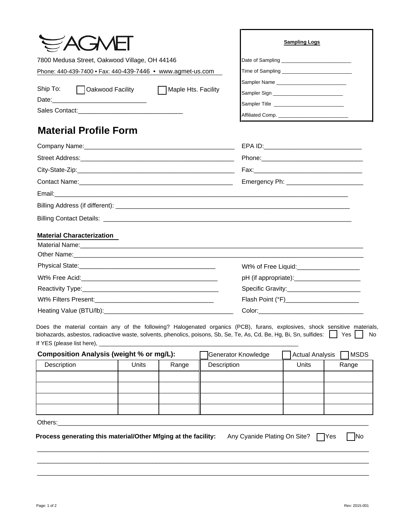|                                                            | <b>Sampling Logs</b>                            |  |  |
|------------------------------------------------------------|-------------------------------------------------|--|--|
| 7800 Medusa Street, Oakwood Village, OH 44146              |                                                 |  |  |
| Phone: 440-439-7400 • Fax: 440-439-7446 • www.agmet-us.com |                                                 |  |  |
|                                                            |                                                 |  |  |
| Ship To:<br>◯ Oakwood Facility<br>Maple Hts. Facility      |                                                 |  |  |
|                                                            | Sampler Title _________________________________ |  |  |
|                                                            |                                                 |  |  |
| <b>Material Profile Form</b>                               |                                                 |  |  |
|                                                            | EPA ID: _____________                           |  |  |
|                                                            |                                                 |  |  |

| Email: 2008. 2009. 2010. 2010. 2010. 2010. 2010. 2010. 2010. 2010. 2010. 2010. 2010. 2010. 2010. 2010. 2010. 20 |  |
|-----------------------------------------------------------------------------------------------------------------|--|
|                                                                                                                 |  |
|                                                                                                                 |  |

## **Material Characterization**

| Wt% of Free Liquid:<br><u> Wt% of Free Liquid:</u> |
|----------------------------------------------------|
|                                                    |
|                                                    |
| Flash Point (°F)_________________________          |
|                                                    |

Does the material contain any of the following? Halogenated organics (PCB), furans, explosives, shock sensitive materials, biohazards, asbestos, radioactive waste, solvents, phenolics, poisons, Sb, Se, Te, As, Cd, Be, Hg, Bi, Sn, sulfides:  $\Box$  Yes  $\Box$  No If YES (please list here), \_\_\_\_

| Composition Analysis (weight % or mg/L): |       | Generator Knowledge | MSDS<br>Actual Analysis |              |       |
|------------------------------------------|-------|---------------------|-------------------------|--------------|-------|
| Description                              | Units | Range               | Description             | <b>Units</b> | Range |
|                                          |       |                     |                         |              |       |
|                                          |       |                     |                         |              |       |
|                                          |       |                     |                         |              |       |
|                                          |       |                     |                         |              |       |
| Others:                                  |       |                     |                         |              |       |

 $\_$  ,  $\_$  ,  $\_$  ,  $\_$  ,  $\_$  ,  $\_$  ,  $\_$  ,  $\_$  ,  $\_$  ,  $\_$  ,  $\_$  ,  $\_$  ,  $\_$  ,  $\_$  ,  $\_$  ,  $\_$  ,  $\_$  ,  $\_$  ,  $\_$  ,  $\_$  ,  $\_$  ,  $\_$  ,  $\_$  ,  $\_$  ,  $\_$  ,  $\_$  ,  $\_$  ,  $\_$  ,  $\_$  ,  $\_$  ,  $\_$  ,  $\_$  ,  $\_$  ,  $\_$  ,  $\_$  ,  $\_$  ,  $\_$  ,

\_\_\_\_\_\_\_\_\_\_\_\_\_\_\_\_\_\_\_\_\_\_\_\_\_\_\_\_\_\_\_\_\_\_\_\_\_\_\_\_\_\_\_\_\_\_\_\_\_\_\_\_\_\_\_\_\_\_\_\_\_\_\_\_\_\_\_\_\_\_\_\_\_\_\_\_\_\_\_\_\_\_\_\_\_\_\_\_\_\_\_\_\_\_\_  $\_$  ,  $\_$  ,  $\_$  ,  $\_$  ,  $\_$  ,  $\_$  ,  $\_$  ,  $\_$  ,  $\_$  ,  $\_$  ,  $\_$  ,  $\_$  ,  $\_$  ,  $\_$  ,  $\_$  ,  $\_$  ,  $\_$  ,  $\_$  ,  $\_$  ,  $\_$  ,  $\_$  ,  $\_$  ,  $\_$  ,  $\_$  ,  $\_$  ,  $\_$  ,  $\_$  ,  $\_$  ,  $\_$  ,  $\_$  ,  $\_$  ,  $\_$  ,  $\_$  ,  $\_$  ,  $\_$  ,  $\_$  ,  $\_$  ,

**Process generating this material/Other Mfging at the facility:** Any Cyanide Plating On Site? □ Yes □ No